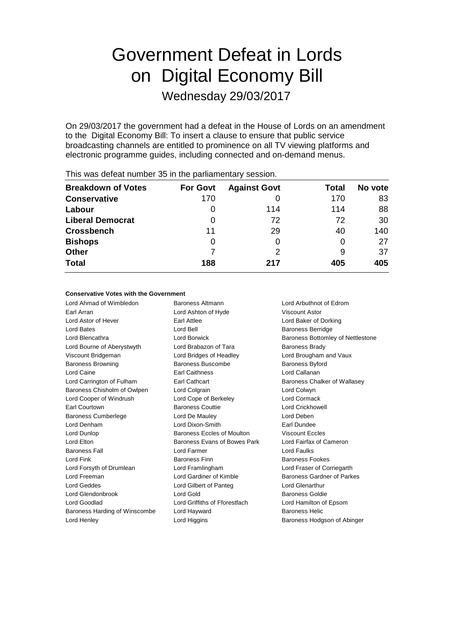# Government Defeat in Lords on Digital Economy Bill

Wednesday 29/03/2017

On 29/03/2017 the government had a defeat in the House of Lords on an amendment to the Digital Economy Bill: To insert a clause to ensure that public service broadcasting channels are entitled to prominence on all TV viewing platforms and electronic programme guides, including connected and on-demand menus.

| <b>Breakdown of Votes</b> | <b>For Govt</b> | <b>Against Govt</b> | Total | No vote |
|---------------------------|-----------------|---------------------|-------|---------|
| <b>Conservative</b>       | 170             |                     | 170   | 83      |
| Labour                    | 0               | 114                 | 114   | 88      |
| <b>Liberal Democrat</b>   | $\Omega$        | 72                  | 72    | 30      |
| <b>Crossbench</b>         | 11              | 29                  | 40    | 140     |
| <b>Bishops</b>            | 0               |                     | 0     | 27      |
| <b>Other</b>              |                 | 2                   | 9     | 37      |
| <b>Total</b>              | 188             | 217                 | 405   | 405     |
|                           |                 |                     |       |         |

This was defeat number 35 in the parliamentary session.

#### **Conservative Votes with the Government**

Lord Ahmad of Wimbledon Baroness Altmann Lord Arbuthnot of Edrom Earl Arran Lord Ashton of Hyde Viscount Astor Lord Astor of Hever Earl Attlee Lord Baker of Dorking Lord Bates **Lord Bell** Baroness Berridge **Lord Bell** Baroness Berridge Lord Blencathra **Lord Borwick** Baroness Bottomley of Nettlestone Lord Bourne of Aberystwyth Lord Brabazon of Tara Baroness Brady Viscount Bridgeman Lord Bridges of Headley Lord Brougham and Vaux Baroness Browning Baroness Buscombe Baroness Byford Lord Caine Earl Caithness Lord Callanan Lord Carrington of Fulham Earl Cathcart **Earl Cathcart** Baroness Chalker of Wallasey Baroness Chisholm of Owlpen Lord Colgrain Lord Colwyn Lord Cooper of Windrush Lord Cope of Berkeley Lord Cormack Earl Courtown Baroness Couttie Lord Crickhowell Baroness Cumberlege Lord De Mauley Lord Deben Lord Denham Lord Dixon-Smith Earl Dundee Lord Dunlop Baroness Eccles of Moulton Viscount Eccles Lord Elton Baroness Evans of Bowes Park Lord Fairfax of Cameron Baroness Fall Lord Farmer Lord Faulks Lord Fink Baroness Finn Baroness Fookes Lord Forsyth of Drumlean Lord Framlingham Lord Fraser of Corriegarth Lord Freeman Lord Gardiner of Kimble Baroness Gardner of Parkes Lord Geddes Lord Gilbert of Panteg Lord Glenarthur Lord Glendonbrook Lord Gold Baroness Goldie Lord Goodlad Lord Griffiths of Fforestfach Lord Hamilton of Epsom Baroness Harding of Winscombe Lord Hayward Baroness Helic Lord Henley **Lord Higgins Baroness Hodgson of Abinger Lord Higgins Baroness Hodgson of Abinger**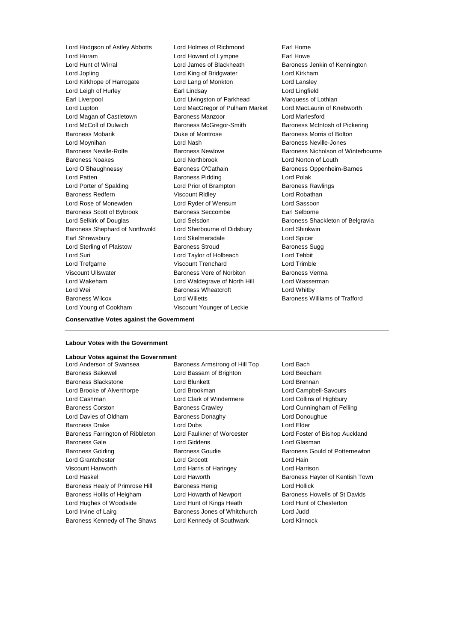Lord Horam Lord Howard of Lympne Earl Howe Lord Hunt of Wirral Lord James of Blackheath Baroness Jenkin of Kennington Lord Jopling Lord King of Bridgwater Lord Kirkham Lord Kirkhope of Harrogate Lord Lang of Monkton Lord Lansley Lord Leigh of Hurley Earl Lindsay Lord Lingfield Earl Liverpool **Lord Livingston of Parkhead** Marquess of Lothian Lord Lupton Lord MacGregor of Pulham Market Lord MacLaurin of Knebworth Lord Magan of Castletown Baroness Manzoor Lord Marlesford Lord McColl of Dulwich **Baroness McGregor-Smith** Baroness McIntosh of Pickering Baroness Mobarik Duke of Montrose Baroness Morris of Bolton Lord Moynihan **Ack Except Lord Nash Baroness Neville-Jones** Lord Nash Baroness Neville-Jones Baroness Noakes Lord Northbrook Lord Norton of Louth Lord O'Shaughnessy **Baroness O'Cathain** Baroness Oppenheim-Barnes Lord Patten **Baroness Pidding Lord Polak** Lord Polak Lord Porter of Spalding **Lord Prior of Brampton** Baroness Rawlings Baroness Redfern Viscount Ridley Lord Robathan Lord Rose of Monewden Lord Ryder of Wensum Lord Sassoon Baroness Scott of Bybrook Baroness Seccombe Earl Selborne Lord Selkirk of Douglas **Lord Selsdon** Baroness Shackleton of Belgravia Baroness Shephard of Northwold Lord Sherbourne of Didsbury Lord Shinkwin Earl Shrewsbury Lord Skelmersdale Lord Spicer Lord Sterling of Plaistow **Baroness Stroud** Baroness Sugg Lord Suri Lord Taylor of Holbeach Lord Tebbit Lord Trefgarne Viscount Trenchard Lord Trimble Viscount Ullswater Baroness Vere of Norbiton Baroness Verma Lord Wakeham Lord Waldegrave of North Hill Lord Wasserman Lord Wei **Baroness Wheatcroft** Lord Whitby Lord Whitby Baroness Wilcox Lord Willetts Baroness Williams of Trafford Lord Young of Cookham Viscount Younger of Leckie

Lord Hodgson of Astley Abbotts Lord Holmes of Richmond Earl Home

Baroness Neville-Rolfe **Baroness Newlove** Baroness Newlove **Baroness Nicholson of Winterbourne** 

### **Labour Votes with the Government**

**Conservative Votes against the Government**

## **Labour Votes against the Government**<br>Lord Anderson of Swansea B

Baroness Bakewell Lord Bassam of Brighton Lord Beecham Baroness Blackstone Lord Blunkett Lord Brennan Lord Brooke of Alverthorpe Lord Brookman Lord Campbell-Savours Lord Cashman Lord Clark of Windermere Lord Collins of Highbury Baroness Corston **Baroness Crawley Community** Lord Cunningham of Felling Lord Davies of Oldham Baroness Donaghy Baroness Donaghy Baroness Drake Lord Dubs Lord Elder Baroness Farrington of Ribbleton Lord Faulkner of Worcester Lord Foster of Bishop Auckland Baroness Gale **Lord Giddens** Lord Giddens **Lord Gigaman** Baroness Golding **Baroness Goudie** Baroness Goudie **Baroness Gould of Potternewton** Lord Grantchester **Lord Grocott** Lord Grocott Lord Hain Viscount Hanworth Lord Harris of Haringey Lord Harrison Lord Haskel **Lord Haworth Baroness Hayter of Kentish Town** Baroness Healy of Primrose Hill Baroness Henig Lord Hollick Baroness Hollis of Heigham Lord Howarth of Newport Baroness Howells of St Davids Lord Hughes of Woodside Lord Hunt of Kings Heath Lord Hunt of Chesterton Lord Irvine of Lairg **Baroness Jones of Whitchurch** Lord Judd

- Baroness Armstrong of Hill Top Lord Bach Baroness Kennedy of The Shaws Lord Kennedy of Southwark Lord Kinnock
	-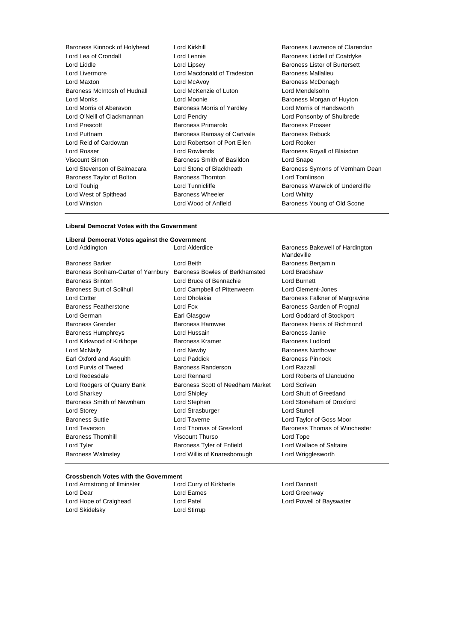Baroness Kinnock of Holyhead Lord Kirkhill Baroness Lawrence of Clarendon Lord Lea of Crondall **Lord Lennie** Lord Lennie **Baroness Liddell of Coatdyke**<br>
Lord Liddle Lord Lipsev **Baroness Lister of Burtersett** Lord Liddle Lord Lipsey Lord Lipsey Cord Lipsey Baroness Lister of Burtersett<br>
Lord Livermore Lord Macdonald of Tradeston Baroness Mallalieu Lord Livermore Lord Macdonald of Tradeston<br>
Lord Maxton Lord McAvov Baroness McIntosh of Hudnall Lord McKenzie of Luton Lord Mendelsohn Lord Monks **Lord Moonie Lord Moonie Baroness Morgan of Huyton** Lord Morris of Aberavon Baroness Morris of Yardley Lord Morris of Handsworth Lord O'Neill of Clackmannan Lord Pendry Lord Ponsonby of Shulbrede Lord Prescott **Baroness Primarolo** Baroness Prosser Lord Puttnam **Baroness Ramsay of Cartvale** Baroness Rebuck Lord Reid of Cardowan Lord Robertson of Port Ellen Lord Rooker Lord Rosser **Lord Rowlands Lord Rowlands Baroness Royall of Blaisdon** Viscount Simon Baroness Smith of Basildon Lord Snape Baroness Taylor of Bolton **Baroness Thornton** Lord Tomlinson Lord Touhig **Lord Tunnicliffe Baroness Warwick of Undercliffe Baroness Warwick of Undercliffe** Lord West of Spithead Baroness Wheeler Lord Whitty Lord Winston Lord Wood of Anfield Baroness Young of Old Scone

- Lord McAvoy **Baroness McDonagh**
- Lord Stevenson of Balmacara Lord Stone of Blackheath Baroness Symons of Vernham Dean

#### **Liberal Democrat Votes with the Government**

| Liberal Democrat Votes against the Government |                                  |                                               |  |  |  |  |
|-----------------------------------------------|----------------------------------|-----------------------------------------------|--|--|--|--|
| Lord Addington                                | Lord Alderdice                   | Baroness Bakewell of Hardington<br>Mandeville |  |  |  |  |
| <b>Baroness Barker</b>                        | Lord Beith                       | Baroness Benjamin                             |  |  |  |  |
| Baroness Bonham-Carter of Yarnbury            | Baroness Bowles of Berkhamsted   | Lord Bradshaw                                 |  |  |  |  |
| <b>Baroness Brinton</b>                       | Lord Bruce of Bennachie          | Lord Burnett                                  |  |  |  |  |
| Baroness Burt of Solihull                     | Lord Campbell of Pittenweem      | Lord Clement-Jones                            |  |  |  |  |
| <b>Lord Cotter</b>                            | <b>Lord Dholakia</b>             | Baroness Falkner of Margravine                |  |  |  |  |
| Baroness Featherstone                         | Lord Fox                         | Baroness Garden of Frognal                    |  |  |  |  |
| Lord German                                   | Earl Glasgow                     | Lord Goddard of Stockport                     |  |  |  |  |
| <b>Baroness Grender</b>                       | Baroness Hamwee                  | Baroness Harris of Richmond                   |  |  |  |  |
| <b>Baroness Humphreys</b>                     | Lord Hussain                     | Baroness Janke                                |  |  |  |  |
| Lord Kirkwood of Kirkhope                     | <b>Baroness Kramer</b>           | <b>Baroness Ludford</b>                       |  |  |  |  |
| Lord McNally                                  | Lord Newby                       | <b>Baroness Northover</b>                     |  |  |  |  |
| Earl Oxford and Asquith                       | <b>Lord Paddick</b>              | <b>Baroness Pinnock</b>                       |  |  |  |  |
| Lord Purvis of Tweed                          | <b>Baroness Randerson</b>        | Lord Razzall                                  |  |  |  |  |
| Lord Redesdale                                | Lord Rennard                     | Lord Roberts of Llandudno                     |  |  |  |  |
| Lord Rodgers of Quarry Bank                   | Baroness Scott of Needham Market | Lord Scriven                                  |  |  |  |  |
| Lord Sharkey                                  | Lord Shipley                     | Lord Shutt of Greetland                       |  |  |  |  |
| Baroness Smith of Newnham                     | Lord Stephen                     | Lord Stoneham of Droxford                     |  |  |  |  |
| Lord Storey                                   | Lord Strasburger                 | Lord Stunell                                  |  |  |  |  |
| <b>Baroness Suttie</b>                        | Lord Taverne                     | Lord Taylor of Goss Moor                      |  |  |  |  |
| Lord Teverson                                 | Lord Thomas of Gresford          | Baroness Thomas of Winchester                 |  |  |  |  |
| <b>Baroness Thornhill</b>                     | <b>Viscount Thurso</b>           | Lord Tope                                     |  |  |  |  |
| Lord Tyler                                    | Baroness Tyler of Enfield        | Lord Wallace of Saltaire                      |  |  |  |  |
| <b>Baroness Walmsley</b>                      | Lord Willis of Knaresborough     | Lord Wrigglesworth                            |  |  |  |  |

#### **Crossbench Votes with the Government**

Lord Dear **Lord Eames** Lord Eames **Lord Creenway** Lord Hope of Craighead Lord Patel Lord Powell of Bayswater Lord Skidelsky Lord Stirrup

Lord Armstrong of Ilminster **Lord Curry of Kirkharle Lord Dannatt**